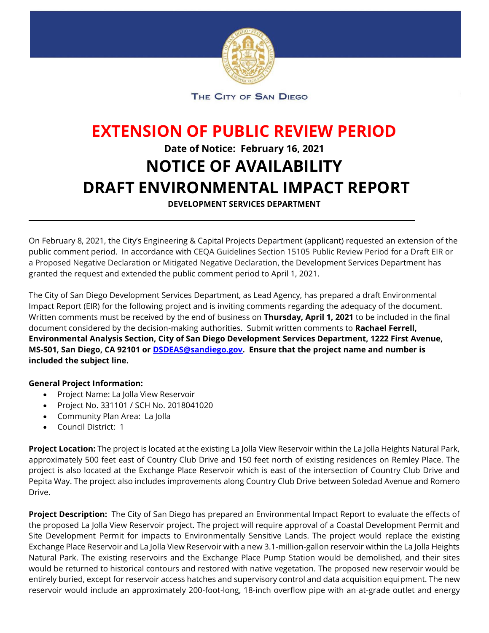

THE CITY OF SAN DIEGO

## **EXTENSION OF PUBLIC REVIEW PERIOD Date of Notice: February 16, 2021 NOTICE OF AVAILABILITY DRAFT ENVIRONMENTAL IMPACT REPORT**

**DEVELOPMENT SERVICES DEPARTMENT**

\_\_\_\_\_\_\_\_\_\_\_\_\_\_\_\_\_\_\_\_\_\_\_\_\_\_\_\_\_\_\_\_\_\_\_\_\_\_\_\_\_\_\_\_\_\_\_\_\_\_\_\_\_\_\_\_\_\_\_\_\_\_\_\_\_\_\_\_\_\_\_\_\_\_\_\_\_\_\_\_\_\_\_\_\_\_\_\_\_\_

On February 8, 2021, the City's Engineering & Capital Projects Department (applicant) requested an extension of the public comment period. In accordance with CEQA Guidelines Section 15105 Public Review Period for a Draft EIR or a Proposed Negative Declaration or Mitigated Negative Declaration, the Development Services Department has granted the request and extended the public comment period to April 1, 2021.

The City of San Diego Development Services Department, as Lead Agency, has prepared a draft Environmental Impact Report (EIR) for the following project and is inviting comments regarding the adequacy of the document. Written comments must be received by the end of business on **Thursday, April 1, 2021** to be included in the final document considered by the decision-making authorities. Submit written comments to **Rachael Ferrell, Environmental Analysis Section, City of San Diego Development Services Department, 1222 First Avenue, MS-501, San Diego, CA 92101 or [DSDEAS@sandiego.gov.](mailto:DSDEAS@sandiego.gov) Ensure that the project name and number is included the subject line.**

## **General Project Information:**

- Project Name: La Jolla View Reservoir
- Project No. 331101 / SCH No. 2018041020
- Community Plan Area: La Jolla
- Council District: 1

**Project Location:** The project is located at the existing La Jolla View Reservoir within the La Jolla Heights Natural Park, approximately 500 feet east of Country Club Drive and 150 feet north of existing residences on Remley Place. The project is also located at the Exchange Place Reservoir which is east of the intersection of Country Club Drive and Pepita Way. The project also includes improvements along Country Club Drive between Soledad Avenue and Romero Drive.

**Project Description:** The City of San Diego has prepared an Environmental Impact Report to evaluate the effects of the proposed La Jolla View Reservoir project. The project will require approval of a Coastal Development Permit and Site Development Permit for impacts to Environmentally Sensitive Lands. The project would replace the existing Exchange Place Reservoir and La Jolla View Reservoir with a new 3.1-million-gallon reservoir within the La Jolla Heights Natural Park. The existing reservoirs and the Exchange Place Pump Station would be demolished, and their sites would be returned to historical contours and restored with native vegetation. The proposed new reservoir would be entirely buried, except for reservoir access hatches and supervisory control and data acquisition equipment. The new reservoir would include an approximately 200-foot-long, 18-inch overflow pipe with an at-grade outlet and energy